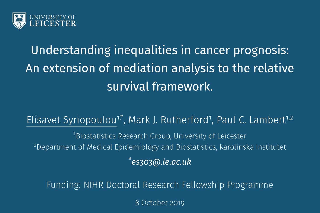

# Understanding inequalities in cancer prognosis: An extension of mediation analysis to the relative survival framework.

Elisavet Syriopoulou<sup>1,\*</sup>, Mark J. Rutherford<sup>1</sup>, Paul C. Lambert<sup>1,2</sup>

<sup>1</sup>Biostatistics Research Group, University of Leicester <sup>2</sup>Department of Medical Epidemiology and Biostatistics, Karolinska Institutet *\*es303@.le.ac.uk*

Funding: NIHR Doctoral Research Fellowship Programme

8 October 2019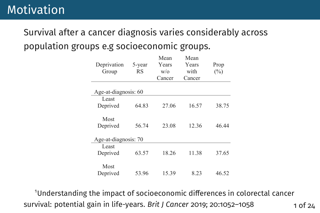#### Survival after a cancer diagnosis varies considerably across population groups e.g socioeconomic groups. same relative survival as the least deprived group.

 $S_{\rm M}$  ,  $S_{\rm M}$  ,  $S_{\rm M}$  if  $f$  female colonical colon cancer patients group if  $f$ 

| Deprivation<br>Group | 5-year<br><b>RS</b> | Mean<br>Years<br>$W$ o<br>Cancer | Mean<br>Years<br>with<br>Cancer | Prop<br>$(\%)$ |
|----------------------|---------------------|----------------------------------|---------------------------------|----------------|
| Age-at-diagnosis: 60 |                     |                                  |                                 |                |
| Least                |                     |                                  |                                 |                |
| Deprived             | 64.83               | 27.06                            | 16.57                           | 38.75          |
|                      |                     |                                  |                                 |                |
| Most                 |                     |                                  |                                 |                |
| Deprived             | 56.74               | 23.08                            | 12.36                           | 46.44          |
|                      |                     |                                  |                                 |                |
| Age-at-diagnosis: 70 |                     |                                  |                                 |                |
| Least                |                     |                                  |                                 |                |
| Deprived             | 63.57               | 18.26                            | 11.38                           | 37.65          |
|                      |                     |                                  |                                 |                |
| Most                 |                     |                                  |                                 |                |
| Deprived             | 53.96               | 15.39                            | 8.23                            | 46.52          |

 $^{\rm 1}$ Understanding the impact of socioeconomic differences in colorectal cancer survival: potential gain in life-years. *Brit J Cancer* 2019; 20:1052–1058 1 of 24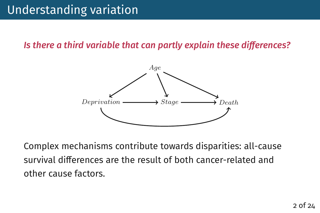*Is there a third variable that can partly explain these differences?* 



Complex mechanisms contribute towards disparities: all-cause survival differences are the result of both cancer-related and other cause factors.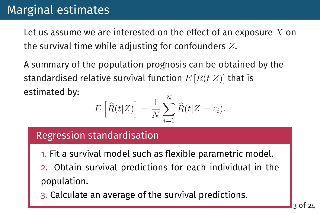Let us assume we are interested on the effect of an exposure  $X$  on the survival time while adjusting for confounders  $Z$ .

A summary of the population prognosis can be obtained by the standardised relative survival function  $E[R(t|Z)]$  that is estimated by:

$$
E\left[\widehat{R}(t|Z)\right] = \frac{1}{N} \sum_{i=1}^{N} \widehat{R}(t|Z=z_i).
$$

## Regression standardisation

- 1. Fit a survival model such as flexible parametric model.
- 2. Obtain survival predictions for each individual in the population.
- 3. Calculate an average of the survival predictions.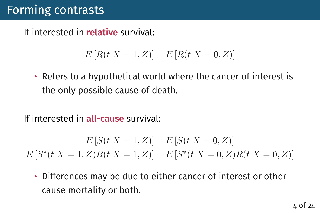If interested in relative survival:

$$
E[R(t|X = 1, Z)] - E[R(t|X = 0, Z)]
$$

• Refers to a hypothetical world where the cancer of interest is the only possible cause of death.

If interested in all-cause survival:

$$
E\left[S(t|X=1,Z)\right] - E\left[S(t|X=0,Z)\right]
$$

$$
E\left[S^*(t|X=1,Z)R(t|X=1,Z)\right] - E\left[S^*(t|X=0,Z)R(t|X=0,Z)\right]
$$

• Differences may be due to either cancer of interest or other cause mortality or both.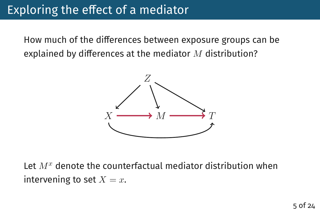How much of the differences between exposure groups can be explained by differences at the mediator  $M$  distribution?



Let  $M<sup>x</sup>$  denote the counterfactual mediator distribution when intervening to set  $X = x$ .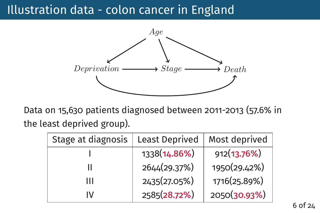## Illustration data - colon cancer in England



Data on 15,630 patients diagnosed between 2011-2013 (57.6% in the least deprived group).

| Stage at diagnosis | <b>Least Deprived</b> | Most deprived |
|--------------------|-----------------------|---------------|
|                    | 1338(14.86%)          | 912(13.76%)   |
|                    | 2644(29.37%)          | 1950(29.42%)  |
| ш                  | 2435(27.05%)          | 1716(25.89%)  |
| IV                 | 2585(28.72%)          | 2050(30.93%)  |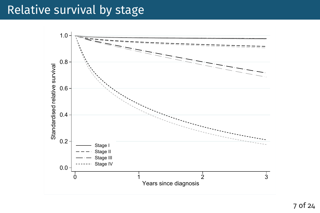## Relative survival by stage

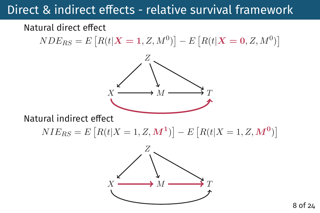# Direct  $\&$  indirect effects - relative survival framework

### Natural direct effect

 $NDE_{RS} = E\left[R(t| \bm{X}=\mathbf{1}, Z, M^0)\right] - E\left[R(t| \bm{X}=\mathbf{0}, Z, M^0)\right]$ 



Natural indirect effect

 $NIE_{RS} = E[R(t|X = 1, Z, M^1)] - E[R(t|X = 1, Z, M^0)]$ 

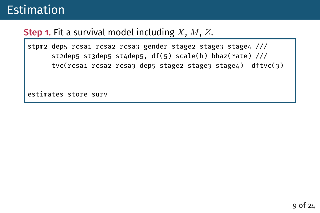## Step 1. Fit a survival model including  $X$ ,  $M$ ,  $Z$ .

stpm2 dep5 rcsa1 rcsa2 rcsa3 gender stage2 stage3 stage4 /// st2dep5 st3dep5 st4dep5, df(5) scale(h) bhaz(rate)  $\frac{1}{1}$ tvc(rcsa1 rcsa2 rcsa3 dep5 stage2 stage3 stage4) dftvc(3)

estimates store surv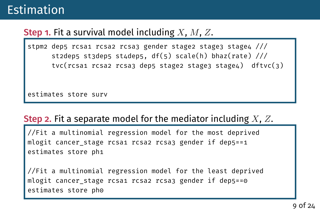## **Step 1.** Fit a survival model including  $X$ ,  $M$ ,  $Z$ .

stpm2 dep5 rcsa1 rcsa2 rcsa3 gender stage2 stage3 stage4 /// st2dep5 st3dep5 st4dep5, df(5) scale(h) bhaz(rate)  $\frac{1}{1}$ tvc(rcsa1 rcsa2 rcsa3 dep5 stage2 stage3 stage4) dftvc(3)

estimates store surv

## Step 2. Fit a separate model for the mediator including  $X, Z$ .

//Fit a multinomial regression model for the most deprived mlogit cancer\_stage rcsa1 rcsa2 rcsa3 gender if dep5==1 estimates store ph1

//Fit a multinomial regression model for the least deprived mlogit cancer stage rcsa1 rcsa2 rcsa3 gender if dep5==0 estimates store ph0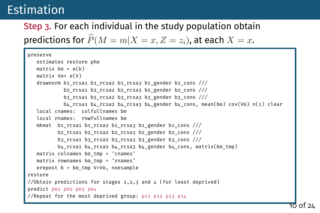# Step 3. For each individual in the study population obtain

predictions for  $\widehat{P}(M = m|X = x, Z = z_i)$ , at each  $X = x$ .

```
preserve
  estimates restore ph0
  matrix bo = e(b)matrix V0= e(V)
  drawnorm b1_rcsa1 b1_rcsa2 b1_rcsa3 b1_gender b1_cons ///
           b2_rcsa1 b2_rcsa2 b2_rcsa3 b2_gender b2_cons ///
           b3 rcsa1 b3 rcsa2 b3 rcsa3 b3 gender b3 cons ///b4_rcsa1 b4_rcsa2 b4_rcsa3 b4_gender b4_cons, mean(b0) cov(V0) n(1) clear
  local cnames: colfullnames be
  local rnames: rowfullnames be
  mkmat b1 rcsa1 b1 rcsa2 b1 rcsa3 b1 gender b1 cons ///b2_rcsa1 b2_rcsa2 b2_rcsa3 b2_gender b2_cons ///
         b3 rcsa1 b3 rcsa2 b3 rcsa3 b3 gender b3 cons ///b4 rcsa1 b4 rcsa2 b4 rcsa3 b4 gender b4 cons, matrix(b0 tmp)
  matrix colnames bo tmp = 'cnames'
  matrix rownames bo tmp = 'rnames'
  erepost b = b0_tmp V=V0, noesample
restore
//Obtain predictions for stages 1,2,3 and 4 (for least deprived)
predict p01 p02 p03 p04
//Repeat for the most deprived group: p11 p12 p13 p14
```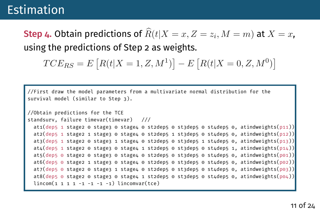Step 4. Obtain predictions of  $R(t|X=x, Z=z_i, M=m)$  at  $X=x$ , using the predictions of Step 2 as weights.

$$
TCE_{RS} = E[R(t|X = 1, Z, M^{1})] - E[R(t|X = 0, Z, M^{0})]
$$

```
//First draw the model parameters from a multivariate normal distribution for the
survival model (similar to Step 3).
//Obtain predictions for the TCE
standsurv, failure timevar(timevar) ///
  at1(dep5 1 stage2 0 stage3 0 stage4 0 st2dep5 0 st3dep5 0 st4dep5 0, atindweights(p11))
  at2(dep5 1 stage2 1 stage3 0 stage4 0 st2dep5 1 st3dep5 0 st4dep5 0, atindweights(p12))
  at3(dep5 1 stage2 0 stage3 1 stage4 0 st2dep5 0 st3dep5 1 st4dep5 0, atindweights(p13))
  at4(dep5 1 stage2 0 stage3 0 stage4 1 st2dep5 0 st3dep5 0 st4dep5 1, atindweights(p14))
  at5(dep5 \circ stage2 \circ stage3 \circ stage4 \circ st2dep5 \circ st3dep5 \circ st4dep5 \circ, atindweights(p\circ1))
  at6(dep5 \circ stage2 1 stage3 \circ stage4 \circ st2dep5 \circ st3dep5 \circ st4dep5 \circ, atindweights(p\circ2))
  at7(dep5 \odot stage2 \odot stage3 1 stage4 \odot st2dep5 \odot st3dep5 \odot st4dep5 \odot, atindweights(p\odot3))
  at8(dep5 \odot stage2 \odot stage3 \odot stage4 1 st2dep5 \odot st3dep5 \odot st4dep5 \odot, atindweights(p\odot4))
  lincom(1 1 1 1 -1 -1 -1 -1) linconvar(tce)
```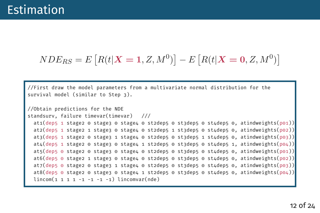```
NDE_{RS} = E[R(t|X = 1, Z, M^0)] - E[R(t|X = 0, Z, M^0)]
```
//First draw the model parameters from a multivariate normal distribution for the survival model (similar to Step 3).

```
//Obtain predictions for the NDE
standsurv, failure timevar(timevar) ///
  at1(dep5 1 stage2 0 stage3 0 stage4 0 st2dep5 0 st3dep5 0 st4dep5 0, atindweights(p01))
  at2(dep5 1 stage2 1 stage3 0 stage4 0 st2dep5 1 st3dep5 0 st4dep5 0, atindweights(p02))
  at3(dep5 1 stage2 0 stage3 1 stage4 0 st2dep5 0 st3dep5 1 st4dep5 0, atindweights(p03))
  at4(dep5 1 stage2 0 stage3 0 stage4 1 st2dep5 0 st3dep5 0 st4dep5 1, atindweights(p04))
  at5(dep5 0 stage2 0 stage3 0 stage4 0 st2dep5 0 st3dep5 0 st4dep5 0, atindweights(p01))
  at6(dep5 \circ stage2 1 stage3 \circ stage4 \circ st2dep5 \circ st3dep5 \circ st4dep5 \circ, atindweights(p\circ2))
  at7(dep5 \theta stage2 \theta stage3 1 stage4 \theta st2dep5 \theta st3dep5 \theta, atindweights(p\theta3))
  at8(dep5 \circ stage2 \circ stage3 \circ stage4 1 st2dep5 \circ st3dep5 \circ st4dep5 \circ, atindweights(p\circ4))
  lincom(1 1 1 1 -1 -1 -1 -1) lincomvar(nde)
```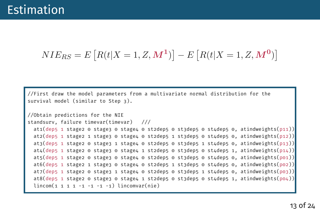$$
NIE_{RS} = E[R(t|X = 1, Z, M^1)] - E[R(t|X = 1, Z, M^0)]
$$

//First draw the model parameters from a multivariate normal distribution for the survival model (similar to Step 3).

```
//Obtain predictions for the NIE
standsurv, failure timevar(timevar) ///
 at1(dep5 1 stage2 0 stage3 0 stage4 0 st2dep5 0 st3dep5 0 st4dep5 0, atindweights(p11))
 at2(dep5 1 stage2 1 stage3 0 stage4 0 st2dep5 1 st3dep5 0 st4dep5 0, atindweights(p12))
 at3(dep5 1 stage2 0 stage3 1 stage4 0 st2dep5 0 st3dep5 1 st4dep5 0, atindweights(p13))
 at4(dep5 1 stage2 0 stage3 0 stage4 1 st2dep5 0 st3dep5 0 st4dep5 1, atindweights(p14))
 at5(dep5 1 stage2 0 stage3 0 stage4 0 st2dep5 0 st3dep5 0 st4dep5 0, atindweights(p01))
 at6(dep5 1 stage2 1 stage3 0 stage4 0 st2dep5 1 st3dep5 0 st4dep5 0, atindweights(p02))
 at7(dep5 1 stage2 0 stage3 1 stage4 0 st2dep5 0 st3dep5 1 st4dep5 0, atindweights(p03))
 at8(dep5 1 stage2 0 stage3 0 stage4 1 st2dep5 0 st3dep5 0 st4dep5 1, atindweights(p04))
 lincom(1 1 1 1 -1 -1 -1 -1) lincomvar(nie)
```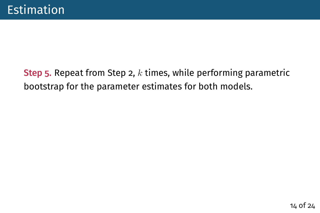## Step 5. Repeat from Step 2,  $k$  times, while performing parametric bootstrap for the parameter estimates for both models.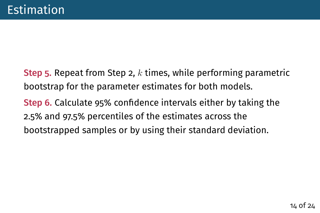Step 5. Repeat from Step 2,  $k$  times, while performing parametric bootstrap for the parameter estimates for both models. Step 6. Calculate 95% confidence intervals either by taking the 2.5% and 97.5% percentiles of the estimates across the bootstrapped samples or by using their standard deviation.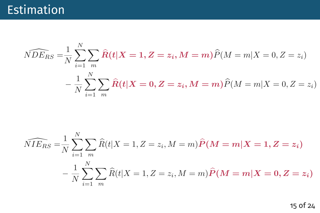$$
\widehat{NDE}_{RS} = \frac{1}{N} \sum_{i=1}^{N} \sum_{m} \widehat{R}(t|X=1, Z=z_i, M=m) \widehat{P}(M=m|X=0, Z=z_i)
$$

$$
- \frac{1}{N} \sum_{i=1}^{N} \sum_{m} \widehat{R}(t|X=0, Z=z_i, M=m) \widehat{P}(M=m|X=0, Z=z_i)
$$

$$
\widehat{NIE}_{RS} = \frac{1}{N} \sum_{i=1}^{N} \sum_{m} \widehat{R}(t|X=1, Z=z_i, M=m) \widehat{P}(M=m|X=1, Z=z_i)
$$

$$
- \frac{1}{N} \sum_{i=1}^{N} \sum_{m} \widehat{R}(t|X=1, Z=z_i, M=m) \widehat{P}(M=m|X=0, Z=z_i)
$$

15 of 24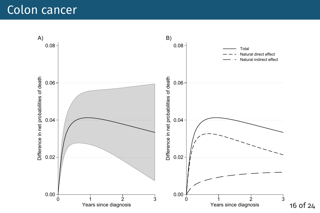## Colon cancer

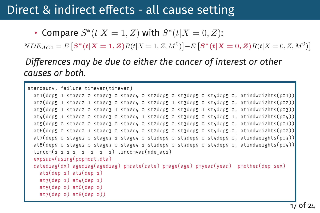## Direct & indirect effects - all cause setting

• Compare  $S^*(t|X=1,Z)$  with  $S^*(t|X=0,Z)$ :

 $NDE_{AC1} = E\left[ \bm{S^*}(t| \bm{X=1}, \bm{Z}) R(t|X=1, Z, M^0) \right] - E\left[ \bm{S^*}(t| \bm{X=0}, \bm{Z}) R(t|X=0, Z, M^0) \right]$ 

*Differences may be due to either the cancer of interest or other causes or both.*

```
standsurv, failure timevar(timevar)
 at1(dep5 1 stage2 0 stage3 0 stage4 0 st2dep5 0 st3dep5 0 st4dep5 0, atindweights(p01))
 at2(dep5 1 stage2 1 stage3 0 stage4 0 st2dep5 1 st3dep5 0 st4dep5 0, atindweights(p02))
 at3(dep5 1 stage2 0 stage3 1 stage4 0 st2dep5 0 st3dep5 1 st4dep5 0, atindweights(p03))
 at4(dep5 1 stage2 0 stage3 0 stage4 1 st2dep5 0 st3dep5 0 st4dep5 1, atindweights(p04))
 at5(dep5 0 stage2 0 stage3 0 stage4 0 st2dep5 0 st3dep5 0 st4dep5 0, atindweights(p01))
 at6(dep5 0 stage2 1 stage3 0 stage4 0 st2dep5 0 st3dep5 0 st4dep5 0, atindweights(p02))
 at7(dep5 0 stage2 0 stage3 1 stage4 0 st2dep5 0 st3dep5 0 st4dep5 0, atindweights(p03))
 at8(dep5 0 stage2 0 stage3 0 stage4 1 st2dep5 0 st3dep5 0 st4dep5 0, atindweights(p04))
 lincom(1 1 1 1 -1 -1 -1 -1) lincomvar(nde ac1)expsurv(using(popmort.dta)
 datediag(dx) agediag(agediag) pmrate(rate) pmage(age) pmyear(year) pmother(dep sex)
   at1(dep 1) at2(dep 1)at3(dep 1) at4(dep 1)at5(dep 0) at6(dep 0)
   at7(dep 0) at8(dep 0))
```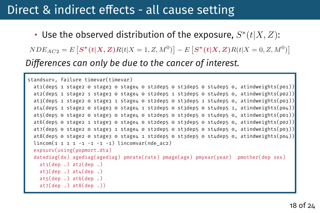## Direct & indirect effects - all cause setting

• Use the observed distribution of the exposure,  $S^{*}(t|X,Z)$ :

 $NDE_{AC2} = E\left[ S^*(t|X,\pmb{Z})R(t|X=1,Z,M^0)\right] - E\left[ S^*(t|X,\pmb{Z})R(t|X=0,Z,M^0)\right]$ *Differences can only be due to the cancer of interest.* 

```
standsurv, failure timevar(timevar)
 at1(dep5 1 stage2 0 stage3 0 stage4 0 st2dep5 0 st3dep5 0 st4dep5 0, atindweights(p01))
 at2(dep5 1 stage2 1 stage3 0 stage4 0 st2dep5 1 st3dep5 0 st4dep5 0, atindweights(p02))
 at3(dep5 1 stage2 0 stage3 1 stage4 0 st2dep5 0 st3dep5 1 st4dep5 0, atindweights(p03))
 at4(dep5 1 stage2 0 stage3 0 stage4 1 st2dep5 0 st3dep5 0 st4dep5 1, atindweights(p04))
 at5(dep5 0 stage2 0 stage3 0 stage4 0 st2dep5 0 st3dep5 0 st4dep5 0, atindweights(p01))
 at6(dep5 0 stage2 1 stage3 0 stage4 0 st2dep5 0 st3dep5 0 st4dep5 0, atindweights(p02))
 at7(dep5 0 stage2 0 stage3 1 stage4 0 st2dep5 0 st3dep5 0 st4dep5 0, atindweights(p03))
 at8(dep5 0 stage2 0 stage3 0 stage4 1 st2dep5 0 st3dep5 0 st4dep5 0, atindweights(p04))
 lincom(1 1 1 1 -1 -1 -1 -1) lincomvar(nde acc)expsurv(using(popmort.dta)
 datediag(dx) agediag(agediag) pmrate(rate) pmage(age) pmyear(year) pmother(dep sex)
   at1(dep.) at2(dep.)at3(dep.) at\mu(dep.)
   ats(dep.) at6(dep.)at7(dep.) at8(dep.)
```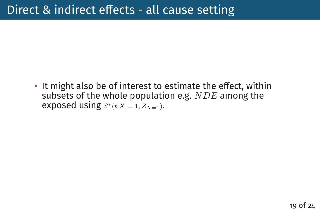$\cdot$  It might also be of interest to estimate the effect, within subsets of the whole population e.g.  $NDE$  among the exposed using  $S^*(t|X=1, Z_{X=1}).$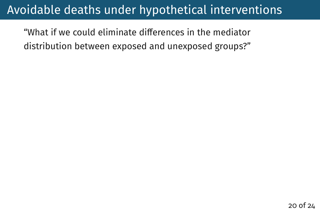"What if we could eliminate differences in the mediator distribution between exposed and unexposed groups?"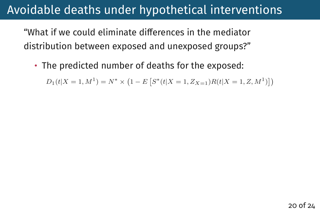"What if we could eliminate differences in the mediator distribution between exposed and unexposed groups?"

• The predicted number of deaths for the exposed:

 $D_1(t|X=1, M^1) = N^* \times (1 - E\left[S^*(t|X=1, Z_{X=1})R(t|X=1, Z, M^1)\right])$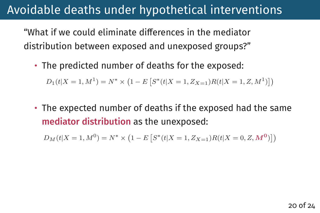"What if we could eliminate differences in the mediator distribution between exposed and unexposed groups?"

• The predicted number of deaths for the exposed:

 $D_1(t|X=1, M^1) = N^* \times (1 - E\left[S^*(t|X=1, Z_{X=1})R(t|X=1, Z, M^1)\right])$ 

• The expected number of deaths if the exposed had the same mediator distribution as the unexposed:

 $D_M(t|X=1, M^0) = N^* \times (1 - E\left[S^*(t|X=1, Z_{X=1})R(t|X=0, Z, M^0)\right])$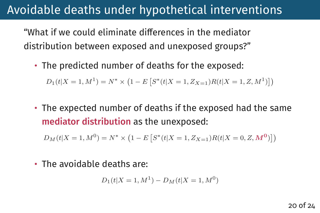"What if we could eliminate differences in the mediator distribution between exposed and unexposed groups?"

• The predicted number of deaths for the exposed:

 $D_1(t|X=1, M^1) = N^* \times (1 - E\left[S^*(t|X=1, Z_{X=1})R(t|X=1, Z, M^1)\right])$ 

• The expected number of deaths if the exposed had the same mediator distribution as the unexposed:

 $D_M(t|X=1, M^0) = N^* \times (1 - E\left[S^*(t|X=1, Z_{X=1})R(t|X=0, Z, M^0)\right])$ 

• The avoidable deaths are:

$$
D_1(t|X=1, M^1) - D_M(t|X=1, M^0)
$$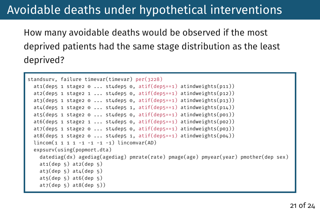How many avoidable deaths would be observed if the most deprived patients had the same stage distribution as the least deprived?

```
standsurv, failure timevar(timevar) per(3228)
 at1(dep5 1 stage2 0 \ldots st4dep5 0 \ldots atif(dep5==1) atindweights(p11))
 atz(dep5 1 stage2 1 ... st4dep5 0, atif(dep5==1) atindweights(p12))at3(dep5 1 stage2 0 \ldots st4dep5 0 \ldots atif(dep5==1) atindweights(p13))
 at4(dep5 1 stage2 0 ... st4dep5 1. atif(dep5==1) atindweights(p14))
 ats(dens 1 stage 0 ... state 5 (deps = 1) at in dweights(p01))at6(dep5 1 stage2 1 ... st4dep5 0, atif(dep5==1) atindweights(p02))
 at7(dep5 1 stage2 0 \ldots st4dep5 0 \ldots atif(dep5==1) atindweights(p03))
 at8(dep5 1 stage2 0 \ldots st4dep5 1, atif(dep5==1) atindweights(p04))
 lincom(1 1 1 1 -1 -1 -1 -1) lincomvar(AD)expsurv(using(popmort.dta)
   datediag(dx) agediag(agediag) pmrate(rate) pmage(age) pmyear(year) pmother(dep sex)
   at1(dep 5) at2(dep 5)
   at3(dep 5) at4(dep 5)at5(dep 5) at6(dep 5)
   at7(dep 5) at8(dep 5))
```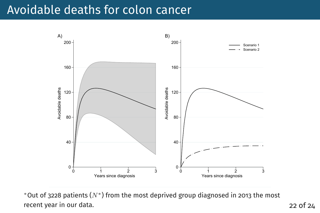## Avoidable deaths for colon cancer



\*Out of 3228 patients  $(N^*)$  from the most deprived group diagnosed in 2013 the most recent year in our data. 22 of 24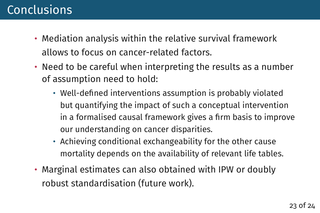## Conclusions

- Mediation analysis within the relative survival framework allows to focus on cancer-related factors.
- Need to be careful when interpreting the results as a number of assumption need to hold:
	- Well-defined interventions assumption is probably violated but quantifying the impact of such a conceptual intervention in a formalised causal framework gives a firm basis to improve our understanding on cancer disparities.
	- Achieving conditional exchangeability for the other cause mortality depends on the availability of relevant life tables.
- Marginal estimates can also obtained with IPW or doubly robust standardisation (future work).